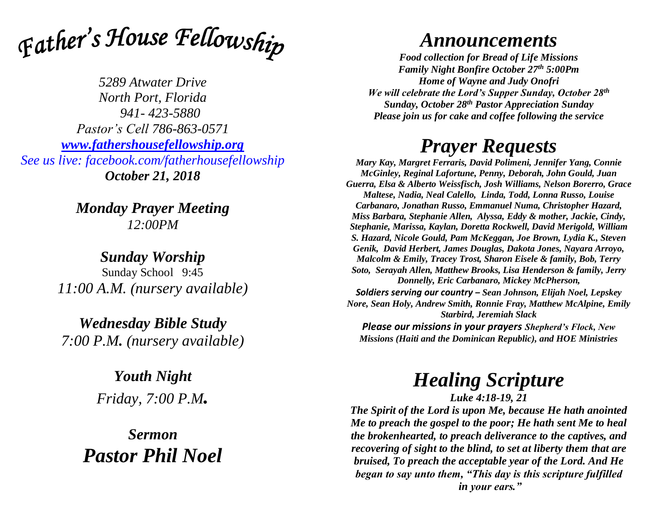

*5289 Atwater Drive North Port, Florida 941- 423-5880 Pastor's Cell 786-863-0571 [www.fathershousefellowship.org](http://www.fathershousefellowship.org/) See us live: facebook.com/fatherhousefellowship October 21, 2018*

> *Monday Prayer Meeting 12:00PM*

*Sunday Worship* Sunday School 9:45 *11:00 A.M. (nursery available)*

*Wednesday Bible Study 7:00 P.M. (nursery available)*

> *Youth Night Friday, 7:00 P.M.*

*Sermon Pastor Phil Noel*

## *Announcements*

*Food collection for Bread of Life Missions Family Night Bonfire October 27th 5:00Pm Home of Wayne and Judy Onofri We will celebrate the Lord's Supper Sunday, October 28th Sunday, October 28th Pastor Appreciation Sunday Please join us for cake and coffee following the service*

## *Prayer Requests*

*Mary Kay, Margret Ferraris, David Polimeni, Jennifer Yang, Connie McGinley, Reginal Lafortune, Penny, Deborah, John Gould, Juan Guerra, Elsa & Alberto Weissfisch, Josh Williams, Nelson Borerro, Grace Maltese, Nadia, Neal Calello, Linda, Todd, Lonna Russo, Louise Carbanaro, Jonathan Russo, Emmanuel Numa, Christopher Hazard, Miss Barbara, Stephanie Allen, Alyssa, Eddy & mother, Jackie, Cindy, Stephanie, Marissa, Kaylan, Doretta Rockwell, David Merigold, William S. Hazard, Nicole Gould, Pam McKeggan, Joe Brown, Lydia K., Steven Genik, David Herbert, James Douglas, Dakota Jones, Nayara Arroyo, Malcolm & Emily, Tracey Trost, Sharon Eisele & family, Bob, Terry Soto, Serayah Allen, Matthew Brooks, Lisa Henderson & family, Jerry Donnelly, Eric Carbanaro, Mickey McPherson, Soldiers serving our country – Sean Johnson, Elijah Noel, Lepskey Nore, Sean Holy, Andrew Smith, Ronnie Fray, Matthew McAlpine, Emily Starbird, Jeremiah Slack Please our missions in your prayers Shepherd's Flock, New* 

*Missions (Haiti and the Dominican Republic), and HOE Ministries*

## *Healing Scripture*

*Luke 4:18-19, 21*

*The Spirit of the Lord is upon Me, because He hath anointed Me to preach the gospel to the poor; He hath sent Me to heal the brokenhearted, to preach deliverance to the captives, and recovering of sight to the blind, to set at liberty them that are bruised, To preach the acceptable year of the Lord. And He began to say unto them, "This day is this scripture fulfilled in your ears."*